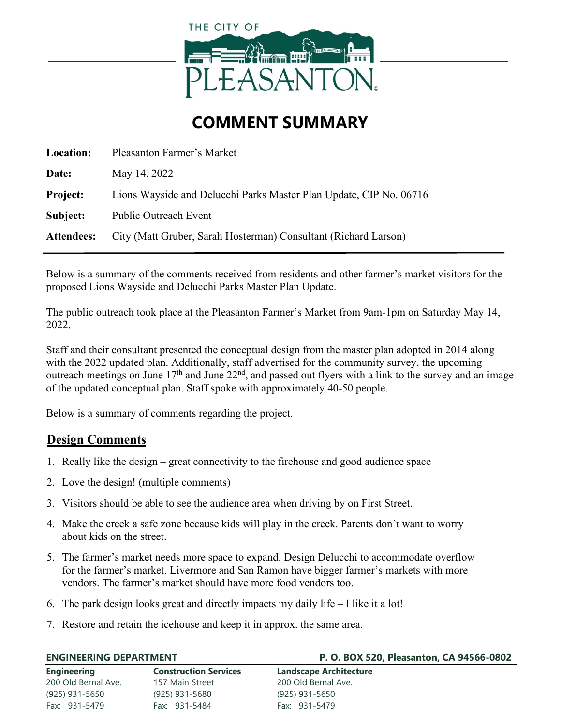

# **COMMENT SUMMARY**

| Location:         | Pleasanton Farmer's Market                                         |  |
|-------------------|--------------------------------------------------------------------|--|
| Date:             | May 14, 2022                                                       |  |
| <b>Project:</b>   | Lions Wayside and Delucchi Parks Master Plan Update, CIP No. 06716 |  |
| Subject:          | Public Outreach Event                                              |  |
| <b>Attendees:</b> | City (Matt Gruber, Sarah Hosterman) Consultant (Richard Larson)    |  |

Below is a summary of the comments received from residents and other farmer's market visitors for the proposed Lions Wayside and Delucchi Parks Master Plan Update.

The public outreach took place at the Pleasanton Farmer's Market from 9am-1pm on Saturday May 14, 2022

Staff and their consultant presented the conceptual design from the master plan adopted in 2014 along with the 2022 updated plan. Additionally, staff advertised for the community survey, the upcoming outreach meetings on June  $17<sup>th</sup>$  and June  $22<sup>nd</sup>$ , and passed out flyers with a link to the survey and an image of the updated conceptual plan. Staff spoke with approximately 40-50 people.

Below is a summary of comments regarding the project.

## **Design Comments**

- 1. Really like the design great connectivity to the firehouse and good audience space
- 2. Love the design! (multiple comments)
- 3. Visitors should be able to see the audience area when driving by on First Street.
- 4. Make the creek a safe zone because kids will play in the creek. Parents don't want to worry about kids on the street.
- 5. The farmer's market needs more space to expand. Design Delucchi to accommodate overflow for the farmer's market. Livermore and San Ramon have bigger farmer's markets with more vendors. The farmer's market should have more food vendors too.
- 6. The park design looks great and directly impacts my daily life I like it a lot!
- 7. Restore and retain the icehouse and keep it in approx. the same area.

| <b>ENGINEERING DEPARTMENT</b> |                              | P. O. BOX 520, Pleasanton, CA 94566-0802 |
|-------------------------------|------------------------------|------------------------------------------|
| <b>Engineering</b>            | <b>Construction Services</b> | <b>Landscape Architecture</b>            |
| 200 Old Bernal Ave.           | 157 Main Street              | 200 Old Bernal Ave.                      |
| (925) 931-5650                | (925) 931-5680               | (925) 931-5650                           |
| Fax: 931-5479                 | Fax: 931-5484                | Fax: 931-5479                            |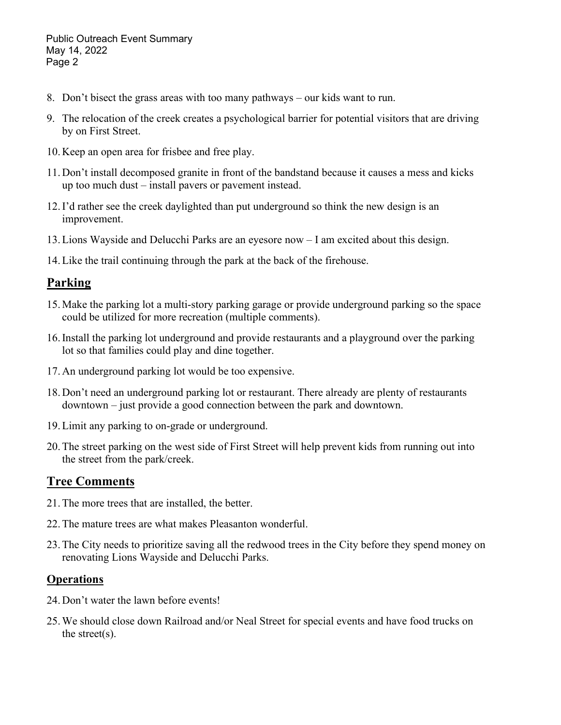Public Outreach Event Summary May 14, 2022 Page 2

- 8. Don't bisect the grass areas with too many pathways our kids want to run.
- 9. The relocation of the creek creates a psychological barrier for potential visitors that are driving by on First Street.
- 10. Keep an open area for frisbee and free play.
- 11. Don't install decomposed granite in front of the bandstand because it causes a mess and kicks up too much dust – install pavers or pavement instead.
- 12.I'd rather see the creek daylighted than put underground so think the new design is an improvement.
- 13.Lions Wayside and Delucchi Parks are an eyesore now I am excited about this design.
- 14.Like the trail continuing through the park at the back of the firehouse.

## **Parking**

- 15. Make the parking lot a multi-story parking garage or provide underground parking so the space could be utilized for more recreation (multiple comments).
- 16.Install the parking lot underground and provide restaurants and a playground over the parking lot so that families could play and dine together.
- 17. An underground parking lot would be too expensive.
- 18. Don't need an underground parking lot or restaurant. There already are plenty of restaurants downtown – just provide a good connection between the park and downtown.
- 19.Limit any parking to on-grade or underground.
- 20.The street parking on the west side of First Street will help prevent kids from running out into the street from the park/creek.

## **Tree Comments**

- 21.The more trees that are installed, the better.
- 22.The mature trees are what makes Pleasanton wonderful.
- 23.The City needs to prioritize saving all the redwood trees in the City before they spend money on renovating Lions Wayside and Delucchi Parks.

#### **Operations**

- 24. Don't water the lawn before events!
- 25.We should close down Railroad and/or Neal Street for special events and have food trucks on the street(s).